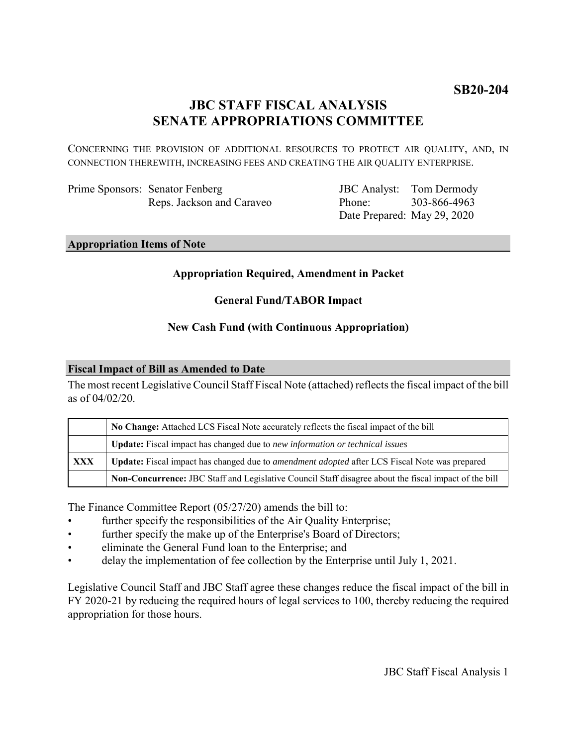# **JBC STAFF FISCAL ANALYSIS SENATE APPROPRIATIONS COMMITTEE**

CONCERNING THE PROVISION OF ADDITIONAL RESOURCES TO PROTECT AIR QUALITY, AND, IN CONNECTION THEREWITH, INCREASING FEES AND CREATING THE AIR QUALITY ENTERPRISE.

| Prime Sponsors: Senator Fenberg |
|---------------------------------|
| Reps. Jackson and Caraveo       |

JBC Analyst: Tom Dermody Phone: Date Prepared: May 29, 2020 303-866-4963

**Appropriation Items of Note**

# **Appropriation Required, Amendment in Packet**

# **General Fund/TABOR Impact**

# **New Cash Fund (with Continuous Appropriation)**

### **Fiscal Impact of Bill as Amended to Date**

The most recent Legislative Council Staff Fiscal Note (attached) reflects the fiscal impact of the bill as of 04/02/20.

|            | No Change: Attached LCS Fiscal Note accurately reflects the fiscal impact of the bill                       |  |
|------------|-------------------------------------------------------------------------------------------------------------|--|
|            | <b>Update:</b> Fiscal impact has changed due to new information or technical issues                         |  |
| <b>XXX</b> | <b>Update:</b> Fiscal impact has changed due to <i>amendment adopted</i> after LCS Fiscal Note was prepared |  |
|            | Non-Concurrence: JBC Staff and Legislative Council Staff disagree about the fiscal impact of the bill       |  |

The Finance Committee Report (05/27/20) amends the bill to:

- further specify the responsibilities of the Air Quality Enterprise;
- further specify the make up of the Enterprise's Board of Directors;
- eliminate the General Fund loan to the Enterprise; and
- delay the implementation of fee collection by the Enterprise until July 1, 2021.

Legislative Council Staff and JBC Staff agree these changes reduce the fiscal impact of the bill in FY 2020-21 by reducing the required hours of legal services to 100, thereby reducing the required appropriation for those hours.